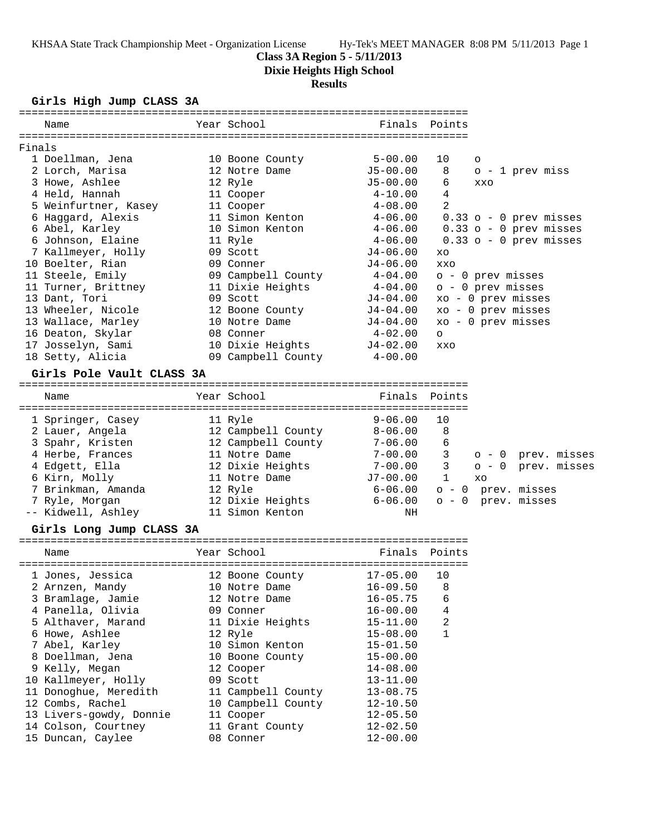**Class 3A Region 5 - 5/11/2013**

**Dixie Heights High School**

# **Results**

# **Girls High Jump CLASS 3A**

| Name                      | Year School                | Finals Points |                          |
|---------------------------|----------------------------|---------------|--------------------------|
| Finals                    |                            |               |                          |
| 1 Doellman, Jena          | 10 Boone County            | $5 - 00.00$   | 10<br>$\circ$            |
| 2 Lorch, Marisa           | 12 Notre Dame              | $J5-00.00$    | 8<br>$o - 1$ prev miss   |
| 3 Howe, Ashlee            | 12 Ryle                    | J5-00.00      | 6<br><b>XXO</b>          |
| 4 Held, Hannah            | 11 Cooper                  | $4 - 10.00$   | 4                        |
| 5 Weinfurtner, Kasey      | 11 Cooper                  | $4 - 08.00$   | $\mathfrak{D}$           |
| 6 Haggard, Alexis         | 11 Simon Kenton            | 4-06.00       | 0.33 o - 0 prev misses   |
| 6 Abel, Karley            | 10 Simon Kenton            | $4 - 06.00$   | $0.33$ o - 0 prev misses |
| 6 Johnson, Elaine         | 11 Ryle                    | $4 - 06.00$   | $0.33$ o - 0 prev misses |
| 7 Kallmeyer, Holly        | 09 Scott                   | J4-06.00      | XO                       |
| 10 Boelter, Rian          | 09 Conner                  | $J4-06.00$    | <b>XXO</b>               |
| 11 Steele, Emily          | 09 Campbell County 4-04.00 |               | o - 0 prev misses        |
| 11 Turner, Brittney       | 11 Dixie Heights           | $4 - 04.00$   | $o - 0$ prev misses      |
| 13 Dant, Tori             | 09 Scott                   | J4-04.00      | xo - 0 prev misses       |
| 13 Wheeler, Nicole        | 12 Boone County            | J4-04.00      | xo - 0 prev misses       |
| 13 Wallace, Marley        | 10 Notre Dame              | J4-04.00      | xo - 0 prev misses       |
| 16 Deaton, Skylar         | 08 Conner                  | $4-02.00$     | $\circ$                  |
| 17 Josselyn, Sami         | 10 Dixie Heights J4-02.00  |               | <b>XXO</b>               |
| 18 Setty, Alicia          | 09 Campbell County 4-00.00 |               |                          |
| Girls Pole Vault CLASS 3A |                            |               |                          |
| Name                      | Year School                | Finals Points |                          |
| 1 Springer, Casey         | 11 Ryle                    | $9 - 06.00$   | 10                       |
| 2 Lauer, Angela           | 12 Campbell County         | $8 - 06.00$   | 8                        |
| 3 Spahr, Kristen          | 12 Campbell County         | $7 - 06.00$   | 6                        |
| 4 Herbe, Frances          | 11 Notre Dame              | $7 - 00.00$   | 3<br>o - 0 prev. misses  |

| 4 Herbe, Frances   | II NOTre Dame |                  |          |      | $1 - 00.00$ 3 0 - 0 prev.misses      |
|--------------------|---------------|------------------|----------|------|--------------------------------------|
| 4 Edgett, Ella     |               | 12 Dixie Heights |          |      | $7-00.00$ $3$ $0-0$ prev. misses     |
| 6 Kirn, Molly      | 11 Notre Dame |                  | J7-00.00 | 1 xo |                                      |
| 7 Brinkman, Amanda | 12 Rvle       |                  |          |      | $6 - 06.00$ $\circ$ - 0 prev. misses |
| 7 Ryle, Morqan     |               | 12 Dixie Heights |          |      | $6 - 06.00$ o - 0 prev. misses       |
| -- Kidwell, Ashley |               | 11 Simon Kenton  | ΝH       |      |                                      |

# **Girls Long Jump CLASS 3A**

| Name                    | Year School        | Finals Points |                |
|-------------------------|--------------------|---------------|----------------|
|                         |                    |               |                |
| 1 Jones, Jessica        | 12 Boone County    | $17 - 05.00$  | 10             |
| 2 Arnzen, Mandy         | 10 Notre Dame      | 16-09.50      | 8              |
| 3 Bramlage, Jamie       | 12 Notre Dame      | $16 - 05.75$  | 6              |
| 4 Panella, Olivia       | 09 Conner          | 16-00.00      | $\overline{4}$ |
| 5 Althaver, Marand      | 11 Dixie Heights   | 15-11.00      | 2              |
| 6 Howe, Ashlee          | 12 Ryle            | $15 - 08.00$  | 1              |
| 7 Abel, Karley          | 10 Simon Kenton    | $15 - 01.50$  |                |
| 8 Doellman, Jena        | 10 Boone County    | $15 - 00.00$  |                |
| 9 Kelly, Megan          | 12 Cooper          | $14 - 08.00$  |                |
| 10 Kallmeyer, Holly     | 09 Scott           | $13 - 11.00$  |                |
| 11 Donoghue, Meredith   | 11 Campbell County | $13 - 08.75$  |                |
| 12 Combs, Rachel        | 10 Campbell County | $12 - 10.50$  |                |
| 13 Livers-gowdy, Donnie | 11 Cooper          | $12 - 05.50$  |                |
| 14 Colson, Courtney     | 11 Grant County    | $12 - 02.50$  |                |
| 15 Duncan, Caylee       | 08 Conner          | $12 - 00.00$  |                |
|                         |                    |               |                |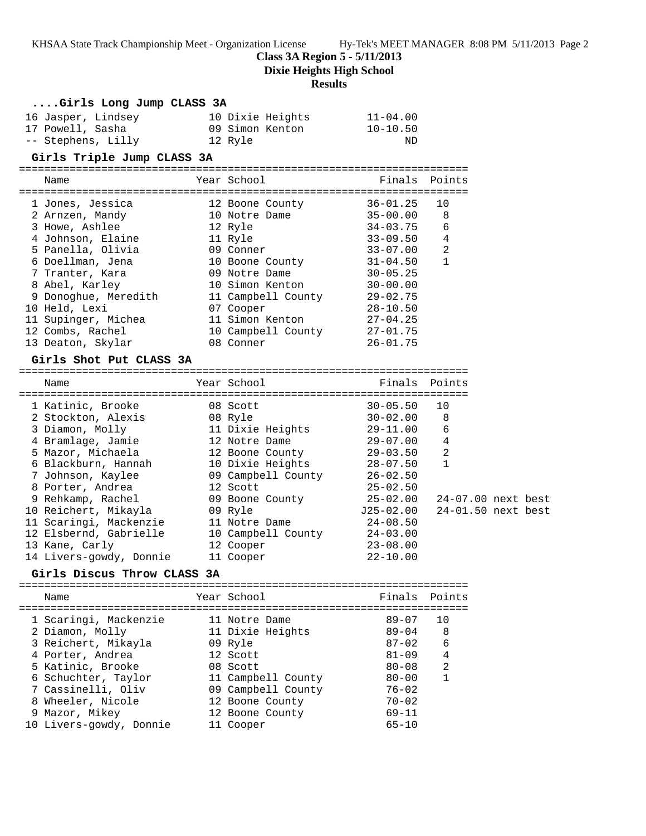**Class 3A Region 5 - 5/11/2013**

**Dixie Heights High School**

## **Results**

## **....Girls Long Jump CLASS 3A**

| 16 Jasper, Lindsey | 10 Dixie Heights | $11 - 04.00$ |
|--------------------|------------------|--------------|
| 17 Powell, Sasha   | 09 Simon Kenton  | $10 - 10.50$ |
| -- Stephens, Lilly | 12 Ryle          | ND           |

#### **Girls Triple Jump CLASS 3A**

======================================================================= Name **Name Reall School Communist Points** Points Points ======================================================================= 1 Jones, Jessica 12 Boone County 36-01.25 10 2 Arnzen, Mandy 10 Notre Dame 35-00.00 8 3 Howe, Ashlee 12 Ryle 34-03.75 6 4 Johnson, Elaine 11 Ryle 33-09.50 4 5 Panella, Olivia 09 Conner 33-07.00 2 6 Doellman, Jena 10 Boone County 31-04.50 1 7 Tranter, Kara 09 Notre Dame 30-05.25 8 Abel, Karley 10 Simon Kenton 30-00.00 9 Donoghue, Meredith 11 Campbell County 29-02.75 10 Held, Lexi 07 Cooper 28-10.50 11 Supinger, Michea 11 Simon Kenton 27-04.25 12 Combs, Rachel 10 Campbell County 27-01.75 13 Deaton, Skylar 08 Conner 26-01.75

## **Girls Shot Put CLASS 3A**

| Name                    | Year School        | Finals Points |                    |                    |
|-------------------------|--------------------|---------------|--------------------|--------------------|
| 1 Katinic, Brooke       | 08 Scott           | $30 - 05.50$  | 10                 |                    |
| 2 Stockton, Alexis      | 08 Ryle            | $30 - 02.00$  | 8                  |                    |
| 3 Diamon, Molly         | 11 Dixie Heights   | $29 - 11.00$  | 6                  |                    |
| 4 Bramlage, Jamie       | 12 Notre Dame      | 29-07.00      | 4                  |                    |
| 5 Mazor, Michaela       | 12 Boone County    | 29-03.50      | $\overline{2}$     |                    |
| 6 Blackburn, Hannah     | 10 Dixie Heights   | $28 - 07.50$  | $\mathbf{1}$       |                    |
| 7 Johnson, Kaylee       | 09 Campbell County | $26 - 02.50$  |                    |                    |
| 8 Porter, Andrea        | 12 Scott           | $25 - 02.50$  |                    |                    |
| 9 Rehkamp, Rachel       | 09 Boone County    | 25-02.00      |                    | 24-07.00 next best |
| 10 Reichert, Mikayla    | 09 Ryle            | J25-02.00     | 24-01.50 next best |                    |
| 11 Scaringi, Mackenzie  | 11 Notre Dame      | $24 - 08.50$  |                    |                    |
| 12 Elsbernd, Gabrielle  | 10 Campbell County | $24 - 03.00$  |                    |                    |
| 13 Kane, Carly          | 12 Cooper          | $23 - 08.00$  |                    |                    |
| 14 Livers-gowdy, Donnie | 11 Cooper          | $22 - 10.00$  |                    |                    |

### **Girls Discus Throw CLASS 3A**

| Name                                                                                                                                                                       | Year School                                                                                                                         | Finals Points                                                                                        |                                             |
|----------------------------------------------------------------------------------------------------------------------------------------------------------------------------|-------------------------------------------------------------------------------------------------------------------------------------|------------------------------------------------------------------------------------------------------|---------------------------------------------|
| 1 Scaringi, Mackenzie<br>2 Diamon, Molly<br>3 Reichert, Mikayla<br>4 Porter, Andrea<br>5 Katinic, Brooke<br>6 Schuchter, Taylor<br>7 Cassinelli, Oliv<br>8 Wheeler, Nicole | 11 Notre Dame<br>11 Dixie Heights<br>09 Ryle<br>12 Scott<br>08 Scott<br>11 Campbell County<br>09 Campbell County<br>12 Boone County | $89 - 07$<br>$89 - 04$<br>$87 - 02$<br>$81 - 09$<br>$80 - 08$<br>$80 - 00$<br>$76 - 02$<br>$70 - 02$ | <u>າດ</u><br>-8<br>6<br>4<br>$\mathfrak{D}$ |
| 9 Mazor, Mikey<br>10 Livers-gowdy, Donnie                                                                                                                                  | 12 Boone County<br>11 Cooper                                                                                                        | $69 - 11$<br>$65 - 10$                                                                               |                                             |
|                                                                                                                                                                            |                                                                                                                                     |                                                                                                      |                                             |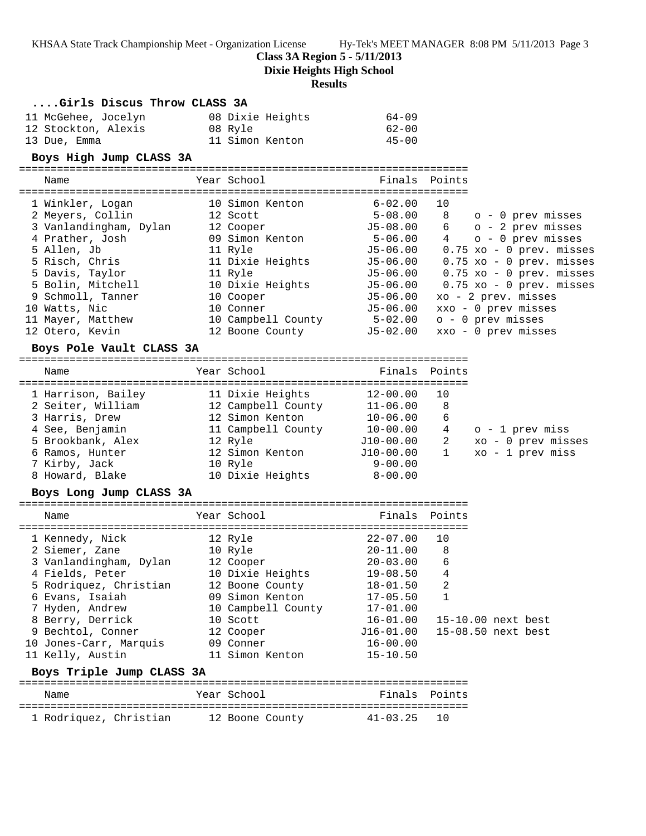**Class 3A Region 5 - 5/11/2013**

**Dixie Heights High School**

|                                       | <b>Results</b>                 |                                     |                        |                                            |
|---------------------------------------|--------------------------------|-------------------------------------|------------------------|--------------------------------------------|
| Girls Discus Throw CLASS 3A           |                                |                                     |                        |                                            |
| 11 McGehee, Jocelyn                   | 08 Dixie Heights               | $64 - 09$                           |                        |                                            |
| 12 Stockton, Alexis                   | 08 Ryle                        | $62 - 00$                           |                        |                                            |
| 13 Due, Emma                          | 11 Simon Kenton                | $45 - 00$                           |                        |                                            |
| Boys High Jump CLASS 3A               |                                |                                     |                        |                                            |
| Name                                  | Year School                    | =================================== | Finals Points          |                                            |
|                                       |                                |                                     |                        |                                            |
| 1 Winkler, Logan                      | 10 Simon Kenton                | $6 - 02.00$                         | 10                     |                                            |
| 2 Meyers, Collin                      | 12 Scott                       | $5 - 08.00$                         |                        | 8 o - 0 prev misses                        |
| 3 Vanlandingham, Dylan                | 12 Cooper                      | J5-08.00                            |                        | $6$ $0 - 2$ prev misses                    |
| 4 Prather, Josh                       | 09 Simon Kenton                | $5 - 06.00$                         |                        | 4 o - 0 prev misses                        |
| 5 Allen, Jb                           | 11 Ryle                        |                                     |                        | J5-06.00  0.75 xo - 0 prev. misses         |
| 5 Risch, Chris                        | 11 Dixie Heights               | J5-06.00                            |                        | $0.75$ xo - 0 prev. misses                 |
| 5 Davis, Taylor                       | 11 Ryle                        | $J5 - 06.00$                        |                        | $0.75$ xo - 0 prev. misses                 |
| 5 Bolin, Mitchell                     | 10 Dixie Heights               | $J5 - 06.00$                        |                        | $0.75$ xo - 0 prev. misses                 |
| 9 Schmoll, Tanner                     | 10 Cooper<br>10 Conner         | J5-06.00<br>J5-06.00                |                        | xo - 2 prev. misses<br>xxo - 0 prev misses |
| 10 Watts, Nic<br>11 Mayer, Matthew    | 10 Campbell County             | $5 - 02.00$                         |                        | o - 0 prev misses                          |
| 12 Otero, Kevin                       | 12 Boone County                | $J5-02.00$                          |                        | xxo - 0 prev misses                        |
|                                       |                                |                                     |                        |                                            |
| Boys Pole Vault CLASS 3A              |                                |                                     |                        |                                            |
| Name                                  | Year School                    | Finals                              | Points                 |                                            |
|                                       |                                |                                     |                        |                                            |
| 1 Harrison, Bailey                    | 11 Dixie Heights               | 12-00.00                            | 10                     |                                            |
| 2 Seiter, William                     | 12 Campbell County             | 11-06.00                            | 8                      |                                            |
| 3 Harris, Drew                        | 12 Simon Kenton                | $10 - 06.00$                        | 6                      |                                            |
| 4 See, Benjamin                       | 11 Campbell County 10-00.00    |                                     | $4\overline{ }$        | o - 1 prev miss                            |
| 5 Brookbank, Alex                     | 12 Ryle                        | J10-00.00                           | $2 \quad \blacksquare$ | xo - 0 prev misses                         |
| 6 Ramos, Hunter                       | 12 Simon Kenton                | J10-00.00                           | $\mathbf{1}$           | xo - 1 prev miss                           |
| 7 Kirby, Jack                         | 10 Ryle                        | 9-00.00                             |                        |                                            |
| 8 Howard, Blake                       | 10 Dixie Heights               | $8 - 00.00$                         |                        |                                            |
| Boys Long Jump CLASS 3A               |                                |                                     |                        |                                            |
| Name                                  | Year School                    | Finals Points                       |                        |                                            |
|                                       |                                |                                     |                        |                                            |
| 1 Kennedy, Nick                       | 12 Ryle                        | $22 - 07.00$                        | 10                     |                                            |
| 2 Siemer, Zane                        | 10 Ryle                        | $20 - 11.00$ 8                      |                        |                                            |
| 3 Vanlandingham, Dylan                | 12 Cooper                      | $20 - 03.00$                        | 6                      |                                            |
| 4 Fields, Peter                       | 10 Dixie Heights               | $19 - 08.50$                        | 4                      |                                            |
| 5 Rodriquez, Christian                | 12 Boone County                | $18 - 01.50$                        | 2                      |                                            |
| 6 Evans, Isaiah                       | 09 Simon Kenton                | $17 - 05.50$                        | $\mathbf{1}$           |                                            |
| 7 Hyden, Andrew                       | 10 Campbell County<br>10 Scott | $17 - 01.00$<br>$16 - 01.00$        |                        | 15-10.00 next best                         |
| 8 Berry, Derrick<br>9 Bechtol, Conner | 12 Cooper                      | J16-01.00                           |                        | 15-08.50 next best                         |
| 10 Jones-Carr, Marquis                | 09 Conner                      | 16-00.00                            |                        |                                            |
| 11 Kelly, Austin                      | 11 Simon Kenton                | $15 - 10.50$                        |                        |                                            |
| Boys Triple Jump CLASS 3A             |                                |                                     |                        |                                            |
|                                       |                                |                                     |                        |                                            |
| Name                                  | Year School                    | Finals                              | Points                 |                                            |
| 1 Rodriquez, Christian                | 12 Boone County                | 41-03.25                            | 10                     |                                            |
|                                       |                                |                                     |                        |                                            |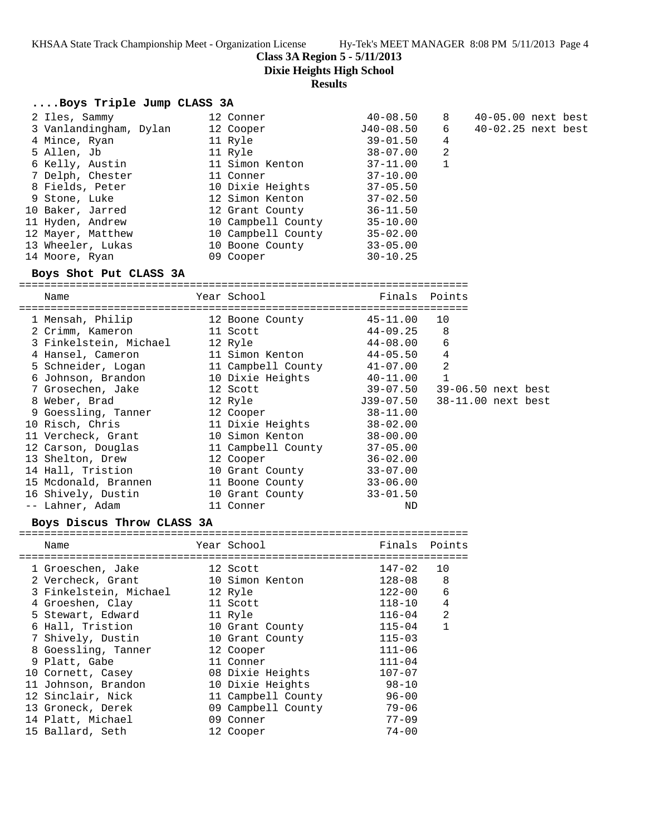8 40-05.00 next best<br>6 40-02.25 next best 6 40-02.25 next best<br>4

**Class 3A Region 5 - 5/11/2013**

**Dixie Heights High School**

# **Results**

# **....Boys Triple Jump CLASS 3A**

| 12 Conner          | $40 - 08.50$ | -8          |
|--------------------|--------------|-------------|
| 12 Cooper          | J40-08.50    | 6           |
| 11 Ryle            | $39 - 01.50$ | 4           |
| 11 Ryle            | $38 - 07.00$ | 2           |
| 11 Simon Kenton    | $37 - 11.00$ | $\mathbf 1$ |
| 11 Conner          | $37 - 10.00$ |             |
| 10 Dixie Heights   | $37 - 05.50$ |             |
| 12 Simon Kenton    | $37 - 02.50$ |             |
| 12 Grant County    | $36 - 11.50$ |             |
| 10 Campbell County | $35 - 10.00$ |             |
| 10 Campbell County | $35 - 02.00$ |             |
| 10 Boone County    | $33 - 05.00$ |             |
| 09 Cooper          | $30 - 10.25$ |             |
|                    |              |             |

## **Boys Shot Put CLASS 3A**

======================================================================= Finals Points

| - 1 a c                |                    |              |                    |  |
|------------------------|--------------------|--------------|--------------------|--|
| 1 Mensah, Philip       | 12 Boone County    | 45-11.00     | 10                 |  |
| 2 Crimm, Kameron       | 11 Scott           | 44-09.25     | 8                  |  |
| 3 Finkelstein, Michael | 12 Ryle            | 44-08.00     | 6                  |  |
| 4 Hansel, Cameron      | 11 Simon Kenton    | $44 - 05.50$ | 4                  |  |
| 5 Schneider, Logan     | 11 Campbell County | 41-07.00     | 2                  |  |
| 6 Johnson, Brandon     | 10 Dixie Heights   | 40-11.00     | 1                  |  |
| 7 Grosechen, Jake      | 12 Scott           | $39 - 07.50$ | 39-06.50 next best |  |
| 8 Weber, Brad          | 12 Ryle            | J39-07.50    | 38-11.00 next best |  |
| 9 Goessling, Tanner    | 12 Cooper          | $38 - 11.00$ |                    |  |
| 10 Risch, Chris        | 11 Dixie Heights   | $38 - 02.00$ |                    |  |
| 11 Vercheck, Grant     | 10 Simon Kenton    | $38 - 00.00$ |                    |  |
| 12 Carson, Douglas     | 11 Campbell County | $37 - 05.00$ |                    |  |
| 13 Shelton, Drew       | 12 Cooper          | $36 - 02.00$ |                    |  |
| 14 Hall, Tristion      | 10 Grant County    | $33 - 07.00$ |                    |  |
| 15 Mcdonald, Brannen   | 11 Boone County    | $33 - 06.00$ |                    |  |
| 16 Shively, Dustin     | 10 Grant County    | $33 - 01.50$ |                    |  |
| -- Lahner, Adam        | 11 Conner          | ND           |                    |  |

# **Boys Discus Throw CLASS 3A**

| Name                   | Year School        | Finals     | Points         |
|------------------------|--------------------|------------|----------------|
| 1 Groeschen, Jake      | 12 Scott           | 147-02     | 10             |
| 2 Vercheck, Grant      | 10 Simon Kenton    | $128 - 08$ | 8              |
| 3 Finkelstein, Michael | 12 Ryle            | $122 - 00$ | 6              |
| 4 Groeshen, Clay       | 11 Scott           | $118 - 10$ | $\overline{4}$ |
| 5 Stewart, Edward      | 11 Ryle            | $116 - 04$ | 2              |
| 6 Hall, Tristion       | 10 Grant County    | $115 - 04$ | $\mathbf{1}$   |
| 7 Shively, Dustin      | 10 Grant County    | $115 - 03$ |                |
| 8 Goessling, Tanner    | 12 Cooper          | $111 - 06$ |                |
| 9 Platt, Gabe          | 11 Conner          | $111 - 04$ |                |
| 10 Cornett, Casey      | 08 Dixie Heights   | $107 - 07$ |                |
| 11 Johnson, Brandon    | 10 Dixie Heights   | $98 - 10$  |                |
| 12 Sinclair, Nick      | 11 Campbell County | $96 - 00$  |                |
| 13 Groneck, Derek      | 09 Campbell County | $79 - 06$  |                |
| 14 Platt, Michael      | 09 Conner          | $77 - 09$  |                |
| 15 Ballard, Seth       | 12 Cooper          | $74 - 00$  |                |